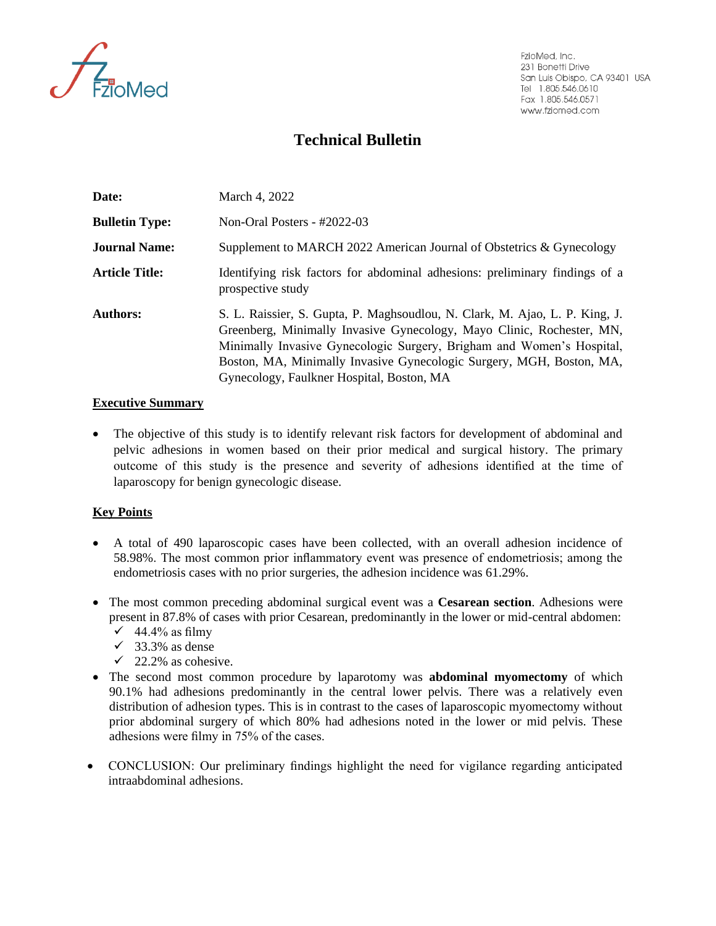

FzioMed, Inc. 231 Bonetti Drive San Luis Obispo, CA 93401 USA Tel 1.805.546.0610 Fax 1.805.546.0571 www.fziomed.com

## **Technical Bulletin**

| Date:                 | March 4, 2022                                                                                                                                                                                                                                                                                                                                      |  |
|-----------------------|----------------------------------------------------------------------------------------------------------------------------------------------------------------------------------------------------------------------------------------------------------------------------------------------------------------------------------------------------|--|
| <b>Bulletin Type:</b> | Non-Oral Posters - $\#2022-03$                                                                                                                                                                                                                                                                                                                     |  |
| <b>Journal Name:</b>  | Supplement to MARCH 2022 American Journal of Obstetrics & Gynecology                                                                                                                                                                                                                                                                               |  |
| <b>Article Title:</b> | Identifying risk factors for abdominal adhesions: preliminary findings of a<br>prospective study                                                                                                                                                                                                                                                   |  |
| <b>Authors:</b>       | S. L. Raissier, S. Gupta, P. Maghsoudlou, N. Clark, M. Ajao, L. P. King, J.<br>Greenberg, Minimally Invasive Gynecology, Mayo Clinic, Rochester, MN,<br>Minimally Invasive Gynecologic Surgery, Brigham and Women's Hospital,<br>Boston, MA, Minimally Invasive Gynecologic Surgery, MGH, Boston, MA,<br>Gynecology, Faulkner Hospital, Boston, MA |  |

## **Executive Summary**

• The objective of this study is to identify relevant risk factors for development of abdominal and pelvic adhesions in women based on their prior medical and surgical history. The primary outcome of this study is the presence and severity of adhesions identified at the time of laparoscopy for benign gynecologic disease.

## **Key Points**

- A total of 490 laparoscopic cases have been collected, with an overall adhesion incidence of 58.98%. The most common prior inflammatory event was presence of endometriosis; among the endometriosis cases with no prior surgeries, the adhesion incidence was 61.29%.
- The most common preceding abdominal surgical event was a **Cesarean section**. Adhesions were present in 87.8% of cases with prior Cesarean, predominantly in the lower or mid-central abdomen:
	- $\checkmark$  44.4% as filmy
	- $\checkmark$  33.3% as dense
	- $\checkmark$  22.2% as cohesive.
- The second most common procedure by laparotomy was **abdominal myomectomy** of which 90.1% had adhesions predominantly in the central lower pelvis. There was a relatively even distribution of adhesion types. This is in contrast to the cases of laparoscopic myomectomy without prior abdominal surgery of which 80% had adhesions noted in the lower or mid pelvis. These adhesions were filmy in 75% of the cases.
- CONCLUSION: Our preliminary findings highlight the need for vigilance regarding anticipated intraabdominal adhesions.